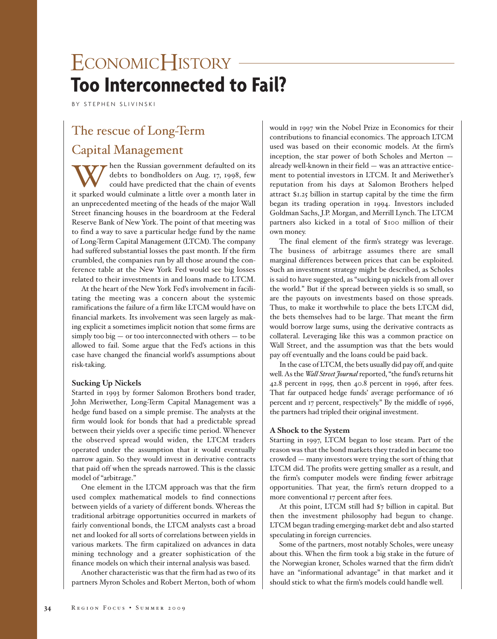# ECONOMICHISTORY -**Too Interconnected to Fail?**

BY STEPHEN SLIVINSKI

## The rescue of Long-Term

### Capital Management

Then the Russian government defaulted on its<br>debts to bondholders on Aug. 17, 1998, few<br>could have predicted that the chain of events debts to bondholders on Aug. 17, 1998, few could have predicted that the chain of events it sparked would culminate a little over a month later in an unprecedented meeting of the heads of the major Wall Street financing houses in the boardroom at the Federal Reserve Bank of New York. The point of that meeting was to find a way to save a particular hedge fund by the name of Long-Term Capital Management (LTCM). The company had suffered substantial losses the past month. If the firm crumbled, the companies run by all those around the conference table at the New York Fed would see big losses related to their investments in and loans made to LTCM.

At the heart of the New York Fed's involvement in facilitating the meeting was a concern about the systemic ramifications the failure of a firm like LTCM would have on financial markets. Its involvement was seen largely as making explicit a sometimes implicit notion that some firms are  $s$ imply too big  $-$  or too interconnected with others  $-$  to be allowed to fail. Some argue that the Fed's actions in this case have changed the financial world's assumptions about risk-taking.

#### **Sucking Up Nickels**

Started in 1993 by former Salomon Brothers bond trader, John Meriwether, Long-Term Capital Management was a hedge fund based on a simple premise. The analysts at the firm would look for bonds that had a predictable spread between their yields over a specific time period. Whenever the observed spread would widen, the LTCM traders operated under the assumption that it would eventually narrow again. So they would invest in derivative contracts that paid off when the spreads narrowed. This is the classic model of "arbitrage."

One element in the LTCM approach was that the firm used complex mathematical models to find connections between yields of a variety of different bonds. Whereas the traditional arbitrage opportunities occurred in markets of fairly conventional bonds, the LTCM analysts cast a broad net and looked for all sorts of correlations between yields in various markets. The firm capitalized on advances in data mining technology and a greater sophistication of the finance models on which their internal analysis was based.

Another characteristic was that the firm had as two of its partners Myron Scholes and Robert Merton, both of whom

would in 1997 win the Nobel Prize in Economics for their contributions to financial economics. The approach LTCM used was based on their economic models. At the firm's inception, the star power of both Scholes and Merton already well-known in their field — was an attractive enticement to potential investors in LTCM. It and Meriwether's reputation from his days at Salomon Brothers helped attract \$1.25 billion in startup capital by the time the firm began its trading operation in 1994. Investors included Goldman Sachs, J.P. Morgan, and Merrill Lynch. The LTCM partners also kicked in a total of \$100 million of their own money.

The final element of the firm's strategy was leverage. The business of arbitrage assumes there are small marginal differences between prices that can be exploited. Such an investment strategy might be described, as Scholes is said to have suggested, as "sucking up nickels from all over the world." But if the spread between yields is so small, so are the payouts on investments based on those spreads. Thus, to make it worthwhile to place the bets LTCM did, the bets themselves had to be large. That meant the firm would borrow large sums, using the derivative contracts as collateral. Leveraging like this was a common practice on Wall Street, and the assumption was that the bets would pay off eventually and the loans could be paid back.

In the case of LTCM, the bets usually did pay off, and quite well. As the *Wall Street Journal*reported, "the fund's returns hit 42.8 percent in 1995, then 40.8 percent in 1996, after fees. That far outpaced hedge funds' average performance of 16 percent and 17 percent, respectively." By the middle of 1996, the partners had tripled their original investment.

#### **A Shock to the System**

Starting in 1997, LTCM began to lose steam. Part of the reason was that the bond markets they traded in became too crowded — many investors were trying the sort of thing that LTCM did. The profits were getting smaller as a result, and the firm's computer models were finding fewer arbitrage opportunities. That year, the firm's return dropped to a more conventional 17 percent after fees.

At this point, LTCM still had \$7 billion in capital. But then the investment philosophy had begun to change. LTCM began trading emerging-market debt and also started speculating in foreign currencies.

Some of the partners, most notably Scholes, were uneasy about this. When the firm took a big stake in the future of the Norwegian kroner, Scholes warned that the firm didn't have an "informational advantage" in that market and it should stick to what the firm's models could handle well.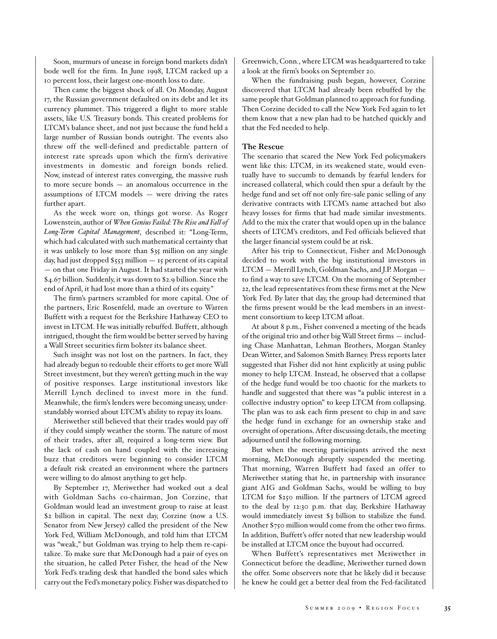Soon, murmurs of unease in foreign bond markets didn't bode well for the firm. In June 1998, LTCM racked up a 10 percent loss, their largest one-month loss to date.

Then came the biggest shock of all. On Monday, August 17, the Russian government defaulted on its debt and let its currency plummet. This triggered a flight to more stable assets, like U.S. Treasury bonds. This created problems for LTCM's balance sheet, and not just because the fund held a large number of Russian bonds outright. The events also threw off the well-defined and predictable pattern of interest rate spreads upon which the firm's derivative investments in domestic and foreign bonds relied. Now, instead of interest rates converging, the massive rush to more secure bonds — an anomalous occurrence in the assumptions of LTCM models — were driving the rates further apart.

As the week wore on, things got worse. As Roger Lowenstein, author of *When Genius Failed: The Rise and Fall of Long-Term Capital Management*, described it: "Long-Term, which had calculated with such mathematical certainty that it was unlikely to lose more than \$35 million on any single day, had just dropped \$553 million — 15 percent of its capital — on that one Friday in August. It had started the year with \$4.67 billion. Suddenly, it was down to \$2.9 billion. Since the end of April, it had lost more than a third of its equity."

The firm's partners scrambled for more capital. One of the partners, Eric Rosenfeld, made an overture to Warren Buffett with a request for the Berkshire Hathaway CEO to invest in LTCM. He was initially rebuffed. Buffett, although intrigued, thought the firm would be better served by having a Wall Street securities firm bolster its balance sheet.

Such insight was not lost on the partners. In fact, they had already begun to redouble their efforts to get more Wall Street investment, but they weren't getting much in the way of positive responses. Large institutional investors like Merrill Lynch declined to invest more in the fund. Meanwhile, the firm's lenders were becoming uneasy, understandably worried about LTCM's ability to repay its loans.

Meriwether still believed that their trades would pay off if they could simply weather the storm. The nature of most of their trades, after all, required a long-term view. But the lack of cash on hand coupled with the increasing buzz that creditors were beginning to consider LTCM a default risk created an environment where the partners were willing to do almost anything to get help.

By September 17, Meriwether had worked out a deal with Goldman Sachs co-chairman, Jon Corzine, that Goldman would lead an investment group to raise at least \$2 billion in capital. The next day, Corzine (now a U.S. Senator from New Jersey) called the president of the New York Fed, William McDonough, and told him that LTCM was "weak," but Goldman was trying to help them re-capitalize. To make sure that McDonough had a pair of eyes on the situation, he called Peter Fisher, the head of the New York Fed's trading desk that handled the bond sales which carry out the Fed's monetary policy. Fisher was dispatched to Greenwich, Conn., where LTCM was headquartered to take a look at the firm's books on September 20.

When the fundraising push began, however, Corzine discovered that LTCM had already been rebuffed by the same people that Goldman planned to approach for funding. Then Corzine decided to call the New York Fed again to let them know that a new plan had to be hatched quickly and that the Fed needed to help.

#### **The Rescue**

The scenario that scared the New York Fed policymakers went like this: LTCM, in its weakened state, would eventually have to succumb to demands by fearful lenders for increased collateral, which could then spur a default by the hedge fund and set off not only fire-sale panic selling of any derivative contracts with LTCM's name attached but also heavy losses for firms that had made similar investments. Add to the mix the crater that would open up in the balance sheets of LTCM's creditors, and Fed officials believed that the larger financial system could be at risk.

After his trip to Connecticut, Fisher and McDonough decided to work with the big institutional investors in LTCM — Merrill Lynch, Goldman Sachs, and J.P. Morgan to find a way to save LTCM. On the morning of September 22, the lead representatives from these firms met at the New York Fed. By later that day, the group had determined that the firms present would be the lead members in an investment consortium to keep LTCM afloat.

At about 8 p.m., Fisher convened a meeting of the heads of the original trio and other big Wall Street firms — including Chase Manhattan, Lehman Brothers, Morgan Stanley Dean Witter, and Salomon Smith Barney. Press reports later suggested that Fisher did not hint explicitly at using public money to help LTCM. Instead, he observed that a collapse of the hedge fund would be too chaotic for the markets to handle and suggested that there was "a public interest in a collective industry option" to keep LTCM from collapsing. The plan was to ask each firm present to chip in and save the hedge fund in exchange for an ownership stake and oversight of operations. After discussing details, the meeting adjourned until the following morning.

But when the meeting participants arrived the next morning, McDonough abruptly suspended the meeting. That morning, Warren Buffett had faxed an offer to Meriwether stating that he, in partnership with insurance giant AIG and Goldman Sachs, would be willing to buy LTCM for \$250 million. If the partners of LTCM agreed to the deal by 12:30 p.m. that day, Berkshire Hathaway would immediately invest \$3 billion to stabilize the fund. Another \$750 million would come from the other two firms. In addition, Buffett's offer noted that new leadership would be installed at LTCM once the buyout had occurred.

When Buffett's representatives met Meriwether in Connecticut before the deadline, Meriwether turned down the offer. Some observers note that he likely did it because he knew he could get a better deal from the Fed-facilitated